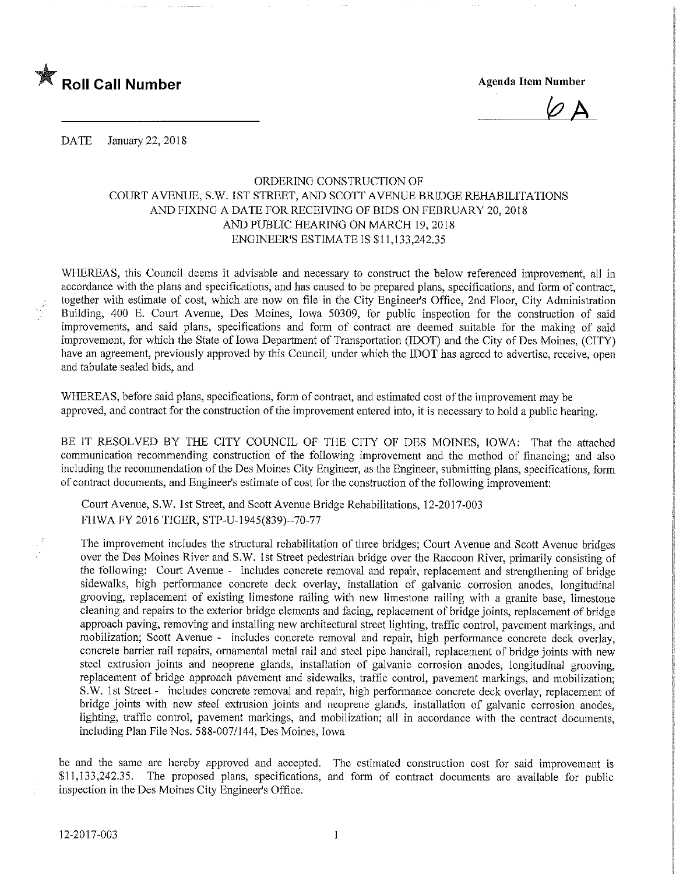

 $\varnothing$   $\Delta$ 

DATE January 22, 2018

## ORDERING CONSTRUCTION OF COURT AVENUE, S.W. 1ST STREET, AND SCOTT AVENUE BRIDGE REHABILITATIONS AND FIXING A DATE FOR RECEIVING OF BIDS ON FEBRUARY 20, 2018 AND PUBLIC HEARING ON MARCH 19,2018 ENGINEER'S ESTIMATE IS \$11,133,242.35

WHEREAS, this Council deems it advisable and necessary to construct the below referenced improvement, all in accordance with the plans and specifications, and has caused to be prepared plans, specifications, and form of contract, together with estimate of cost, which are now on file in the City Engineer's Office, 2nd Floor, City Administration Building, 400 E. Court Avenue, Des Moines, Iowa 50309, for public inspection for the construction of said improvements, and said plans, specifications and form of contract are deemed suitable for the making of said improvement, for which the State of Iowa Department of Transportation (IDOT) and the City of Des Moines, (CITY) have an agreement, previously approved by this Council, under which the IDOT has agreed to advertise, receive, open and tabulate sealed bids, and

WHEREAS, before said plans, specifications, form of contract, and estimated cost of the improvement may be approved, and contract for the construction of the improvement entered into, it is necessary to hold a public hearing.

BE IT RESOLVED BY THE CITY COUNCIL OF THE CITY OF DES MOINES, IOWA: That the attached communication recommending construction of the following improvement and the method of financing; and also including the recommendation of the Des Moines City Engineer, as the Engineer, submitting plans, specifications, form of contract documents, and Engmeer's estimate of cost for the construction of the following improvement:

Court Avenue, S.W. 1st Street, and Scott Avenue Bridge Rehabilitations, 12-2017-003 FHWA FY 2016 TIGER, STP-U-1945(839)-70-77

The improvement includes the structural rehabilitation of three bridges; Court Avenue and Scott Avenue bridges over the Des Moines River and S.W. 1st Street pedestrian bridge over the Raccoon River, primarily consisting of the following: Court Avenue - includes concrete removal and repair, replacement and strengthening of bridge sidewalks, high performance concrete deck overlay, installation of galvanic corrosion anodes, longitudinal grooving, replacement of existing limestone railing with new limestone railing with a granite base, limestone cleaning and repairs to the exterior bridge elements and facing, replacement of bridge joints, replacement of bridge approach paving, removing and installing new architectural street lighting, traffic control, pavement markings, and mobilization; Scott Avenue - includes concrete removal and repair, high performance concrete deck overlay, concrete barrier rail repairs, ornamental metal rail and steel pipe handrail, replacement of bridge joints with new steel exfrusion joints and neoprene glands, installation of galvanic corrosion anodes, longitudinal grooving, replacement of bridge approach pavement and sidewalks, traffic control, pavement markings, and mobilization; S.W. 1st Street - includes concrete removal and repair, high performance concrete deck overlay, replacement of bridge joints with new steel extrusion joints and neoprene glands, installation of galvanic corrosion anodes, lighting, traffic control, pavement markings, and mobilization; all in accordance with the contract documents, including Plan File Nos. 588-007/144, Des Moines, Iowa

be and the same are hereby approved and accepted. The estimated construction cost for said improvement is \$11,133,242.35. The proposed plans, specifications, and form of contract documents are available for public mspection in the Des Moines City Engineer's Office.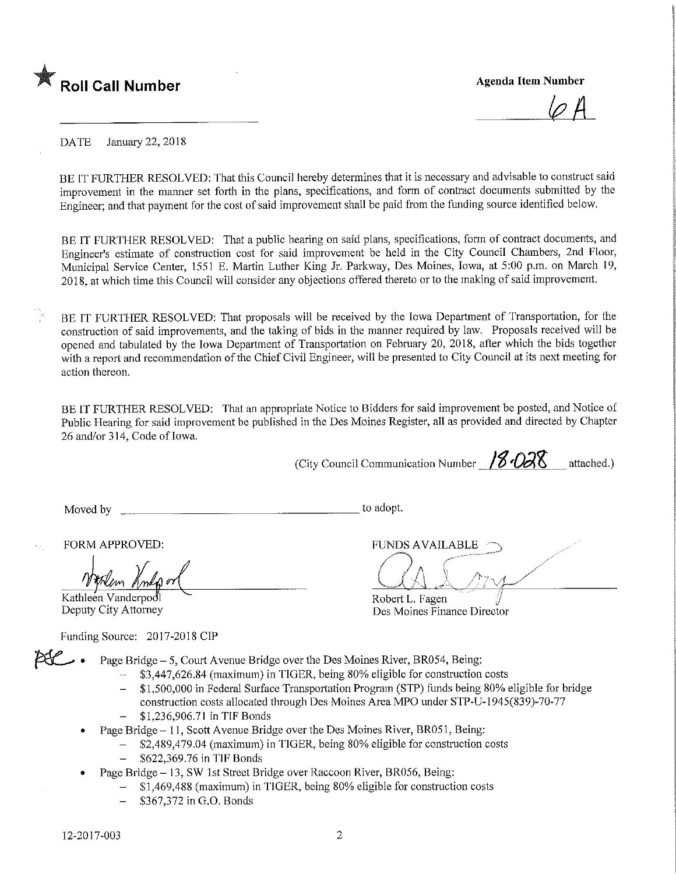

 $\varphi$   $\varphi$ 

DATE January 22, 2018

BE IT FURTHER RESOLVED: That this Council hereby determines that it is necessary and advisable to construct said improvement in the manner set forth m the plans, specifications, and form of contract documents submitted by the Engineer; and that payment for the cost of said improvement shall be paid from the funding source identified below.

BE IT FURTHER RESOLVED: That a public hearing on said plans, specifications, form of contract documents, and Engmeer's estimate of construction cost for said improvement be held in the City Council Chambers, 2nd Floor, Municipal Service Center, 1551 E. Martin Luther King Jr. Parkway, Des Moines, Iowa, at 5:00 p.m. on March 19, 2018, at which time this Council will consider any objections offered thereto or to the making of said improvement.

BE IT FURTHER RESOLVED: That proposals will be received by the Iowa Department of Transportation, for the construction of said improvements, and the taking of bids in the manner required by law. Proposals received will be opened and tabulated by the Iowa Department of Transportation on February 20, 2018, after which the bids together with a report and recommendation of the Chief Civil Engineer, will be presented to City Council at its next meeting for action thereon.

BE IT FURTHER RESOLVED: That an appropriate Notice to Bidders for said improvement be posted, and Notice of Public Hearing for said improvement be published in the Des Moines Register, all as provided and directed by Chapter 26 and/or 314, Code of Iowa.

(City Council Communication Number  $/8/28$  attached.)

Des Moines Finance Director

Moved by \_ to adopt.

FORM APPROVED: FUNDS AVAILABLE

Kathleen Vanderpodl **Execute 2 Contract Contract Contract Contract Contract Contract Contract Contract Contract Contract Contract Contract Contract Contract Contract Contract Contract Contract Contract Contract Contract Co** 

Funding Source: 2017-2018 CIP

Page Bridge - 5, Court Avenue Bridge over the Des Moines River, BR054, Being:

- \$3,447,626.84 (maximum) in TIGER, being 80% eligible for construction costs
- \$1,500,000 in Federal Surface Transportation Program (STP) funds being 80% eligible for bridge construction costs allocated through Des Moines Area MPO under STP-U-1945(839)-70-77 \$1,236,906.71 in TIF Bonds
- Page Bridge 11, Scott Avenue Bridge over the Des Moines River, BR051, Being:
	- \$2,489,479.04 (maximum) in TIGER, being 80% eligible for construction costs
	- \$622,369.76 in TIF Bonds
- Page Bridge 13, SW 1st Street Bridge over Raccoon River, BR056, Being:
	- \$1,469,488 (maximum) in TIGER, being 80% eligible for construction costs
	- \$367,372 in G.O. Bonds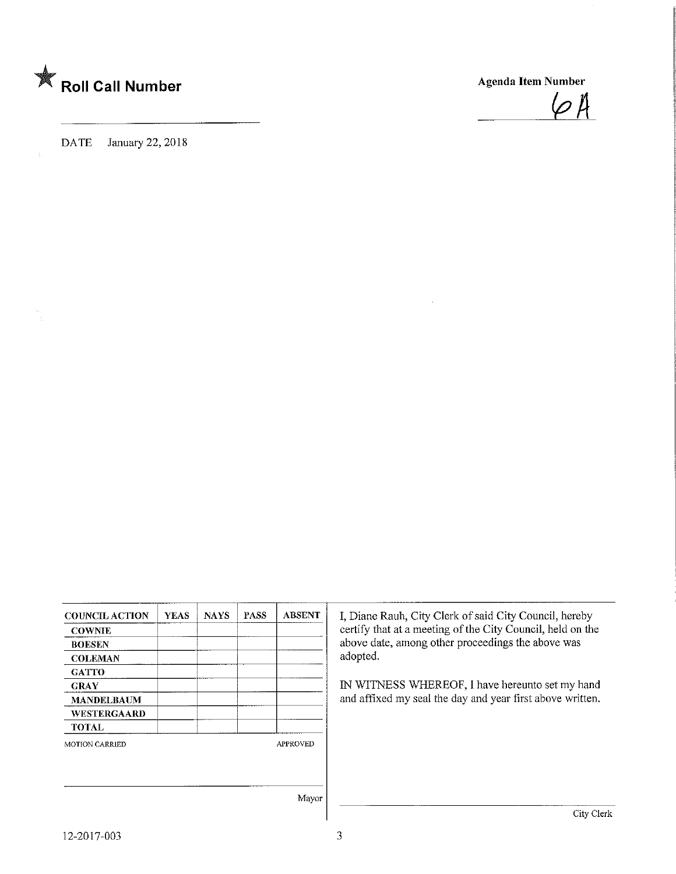

DATE January 22, 2018

 $\varphi$ A

|                       | <b>YEAS</b> | <b>NAYS</b> | <b>PASS</b> | <b>ABSENT</b>   |                                                            |
|-----------------------|-------------|-------------|-------------|-----------------|------------------------------------------------------------|
| <b>COUNCIL ACTION</b> |             |             |             |                 | I, Diane Rauh, City Clerk of said City Council, hereby     |
| <b>COWNIE</b>         |             |             |             |                 | certify that at a meeting of the City Council, held on the |
| <b>BOESEN</b>         |             |             |             |                 | above date, among other proceedings the above was          |
| <b>COLEMAN</b>        |             |             |             |                 | adopted.                                                   |
| <b>GATTO</b>          |             |             |             |                 |                                                            |
| <b>GRAY</b>           |             |             |             |                 | IN WITNESS WHEREOF, I have hereunto set my hand            |
| <b>MANDELBAUM</b>     |             |             |             |                 | and affixed my seal the day and year first above written.  |
| WESTERGAARD           |             |             |             |                 |                                                            |
| TOTAL                 |             |             |             |                 |                                                            |
| MOTION CARRIED        |             |             |             | <b>APPROVED</b> |                                                            |
|                       |             |             |             |                 |                                                            |
|                       |             |             |             |                 |                                                            |
|                       |             |             |             | Mayor           |                                                            |
|                       |             |             |             |                 | City Cl                                                    |

 $\overline{3}$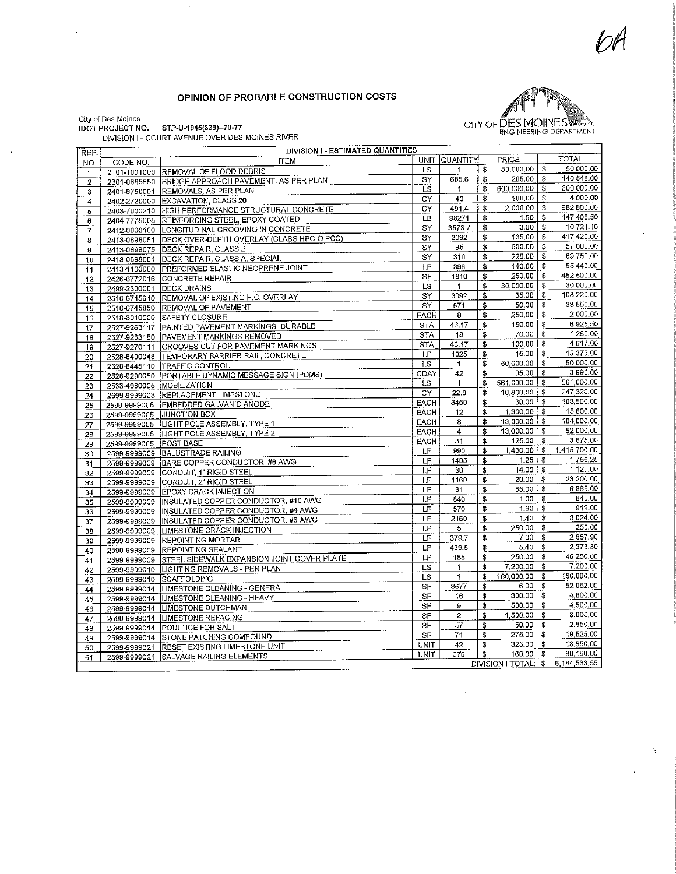## OPINION OF PROBABLE CONSTRUCTION COSTS



Š,

ty of Des Moines

 $\hat{\mathbf{v}}$ 

 $\ddot{\phantom{0}}$ 

 $[O]$ T PROJECT NO. STP-U-1945 $(839)$ -70-77

| REF.           |                              | DIVISION I - COURT AVENUE OVER DES MOINES INVENT<br>DIVISION I - ESTIMATED QUANTITIES |             |                 |                         |                   |                                   |
|----------------|------------------------------|---------------------------------------------------------------------------------------|-------------|-----------------|-------------------------|-------------------|-----------------------------------|
| NO.            | CODE NO.                     | <b>ITEM</b>                                                                           | <b>UNIT</b> | <b>QUANTITY</b> |                         | PRICE             | <b>TOTAL</b>                      |
| $\mathbf{1}$   |                              | 2101-1001000 REMOVAL OF FLOOD DEBRIS                                                  | LS          | 1               | \$                      | 50,000.00         | \$<br>50,000.00                   |
| $\overline{2}$ |                              | 2301-0685550 BRIDGE APPROACH PAVEMENT, AS PER PLAN                                    | SY          | 685,6           | \$                      | 205,00            | \$<br>140.548.00                  |
| 3              |                              | 2401-6750001 REMOVALS, AS PER PLAN                                                    | <b>LS</b>   | 1.              | \$                      | 600,000,00        | \$<br>600,000.00                  |
| 4              |                              | 2402-2720000 EXCAVATION, CLASS 20                                                     | CY          | 40              | \$                      | 100.00            | \$<br>4,000.00                    |
| 5              |                              | 2403-7000210 HIGH PERFORMANCE STRUCTURAL CONCRETE                                     | CY          | 491.4           | \$                      | 2,000.00          | \$<br>982,800.00                  |
| 6              |                              | 2404-7775005 REINFORCING STEEL, EPOXY COATED                                          | LB          | 98271           | \$                      | 1.50              | \$<br>147,406.50                  |
| 7              |                              | 2412-0000100 LONGITUDINAL GROOVING IN CONCRETE                                        | SY          | 3573.7          | \$                      | 3.00 <sub>1</sub> | \$<br>10,721.10                   |
| 8              |                              | 2413-0698051 DECK OVER-DEPTH OVERLAY (CLASS HPC-O PCC)                                | SY          | 3092            | \$                      | 135,00            | \$<br>417,420.00                  |
| 9              |                              | 2413-0698075   DECK REPAIR, CLASS B                                                   | SY          | 95              | \$                      | 600.00            | \$<br>57,000.00                   |
| 10             | 2413-0698081                 | DECK REPAIR, CLASS A, SPECIAL                                                         | SY          | 310             | \$                      | 225.00            | \$<br>69,750.00                   |
| 11             | 2413-1100000                 | <b>PREFORMED ELASTIC NEOPRENE JOINT</b>                                               | LF          | 396             | \$                      | 140,00            | \$<br>55,440.00                   |
| 12             |                              | 2426-6772016 CONCRETE REPAIR                                                          | SF          | 1810            | \$                      | 250.00            | \$<br>452,500.00                  |
|                | 2499-2300001                 | <b>DECK DRAINS</b>                                                                    | LS          | 1               | \$                      | 30,000,00         | \$<br>30,000.00                   |
| 13             |                              | 2510-6745640 REMOVAL OF EXISTING P.C. OVERLAY                                         | SY          | 3092            | \$                      | 35,00             | \$<br>108,220,00                  |
| 14             |                              | 2510-6745850 REMOVAL OF PAVEMENT                                                      | SY          | 671             | \$                      | 50,00             | \$<br>33,550.00                   |
| 15             |                              | 2518-6910000 SAFETY CLOSURE                                                           | EACH        | 8               | \$                      | 250,00            | \$<br>2,000.00                    |
| 16             |                              | 2527-9263117 PAINTED PAVEMENT MARKINGS, DURABLE                                       | <b>STA</b>  | 46.17           | \$                      | 150,00            | \$<br>6,925.50                    |
| 17             |                              | 2527-9263180 PAVEMENT MARKINGS REMOVED                                                | <b>STA</b>  | 18              | \$                      | 70.00             | \$<br>1,260,00                    |
| 18             |                              | 2527-9270111 GROOVES CUT FOR PAVEMENT MARKINGS                                        | <b>STA</b>  | 46.17           | \$                      | 100.00            | \$<br>4,617.00                    |
| 19             |                              | 2528-8400048 TEMPORARY BARRIER RAIL, CONCRETE                                         | LF          | 1025            | \$                      | 15,00             | \$<br>15,375.00                   |
| 20             |                              |                                                                                       | LS          | $\mathbf{1}$    | \$                      | 50,000,00         | \$<br>50,000,00                   |
| 21             |                              | 2528-8445110 TRAFFIC CONTROL<br>2528-9290050 PORTABLE DYNAMIC MESSAGE SIGN (PDMS)     | CDAY        | 42              | \$                      | 95,00             | \$<br>3,990.00                    |
| 22             |                              |                                                                                       | LS          | $\mathbf{1}$    | \$                      | 561,000.00        | \$<br>561,000.00                  |
| 23             |                              | 2533-4980005 MOBILIZATION                                                             | CY          | 22.9            | $\overline{\mathbb{S}}$ | 10,800,00         | \$<br>247,320,00                  |
| 24             | 2599-9999003                 | REPLACEMENT LIMESTONE<br>EMBEDDED GALVANIC ANODE                                      | EACH        | 3450            | \$                      | 30.00             | \$<br>103,500.00                  |
| 25             | 2599-9999005                 | <b>JUNCTION BOX</b>                                                                   | <b>EACH</b> | 12              | \$                      | 1,300,00          | \$<br>15,600.00                   |
| 26             | 2599-9999005                 | LIGHT POLE ASSEMBLY, TYPE 1                                                           | EACH        | 8               | \$                      | $13,000,00$ \$    | 104,000.00                        |
| 27             | 2599-9999005                 | LIGHT POLE ASSEMBLY, TYPE 2                                                           | EACH        | $\overline{4}$  | \$                      | 13,000.00         | \$<br>52,000.00                   |
| 28             | 2599-9999005<br>2599-9999005 | <b>POST BASE</b>                                                                      | <b>EACH</b> | 31              | \$                      | 125,00            | \$<br>3,875.00                    |
| 29             | 2599-9999009                 | <b>BALUSTRADE RAILING</b>                                                             | LF          | 990             | \$                      | $1.430,00$   \$   | 1.415.700.00                      |
| 30             |                              | BARE COPPER CONDUCTOR, #6 AWG                                                         | LF          | 1405            | \$                      | 1.25              | \$<br>1,756.25                    |
| 31             | 2599-9999009<br>2599-9999009 | CONDUIT, 1" RIGID STEEL                                                               | LF          | 80              | \$                      | 14.00             | \$<br>1,120.00                    |
| 32             | 2599-9999009                 | CONDUIT, 2" RIGID STEEL                                                               | LF          | 1160            | \$                      | $20.00$   \$      | 23,200.00                         |
| 33             |                              | 2599-9999009 EPOXY CRACK INJECTION                                                    | LF          | 81              | \$                      | 85,00             | \$<br>6,885.00                    |
| 34             | 2599-9999009                 | INSULATED COPPER CONDUCTOR, #10 AWG                                                   | LF          | 840             | \$                      | $1.00$   \$       | 840.00                            |
| 35             | 2599-9999009                 | INSULATED COPPER CONDUCTOR, #4 AWG                                                    | LF          | 570             | \$                      | 1.60              | \$<br>912.00                      |
| 36             | 2599-9999009                 | INSULATED COPPER CONDUCTOR, #6 AWG                                                    | LF          | 2160            | \$                      | 1.40              | \$<br>3,024.00                    |
| 37<br>38       | 2599-9999009                 | <b>LIMESTONE CRACK INJECTION</b>                                                      | LF          | 5               | \$                      | 250.00            | \$<br>1,250.00                    |
| 39             | 2599-9999009                 | <b>REPOINTING MORTAR</b>                                                              | LF          | 379.7           | \$                      | 7.00              | \$<br>2,657.90                    |
| 40             |                              | 2599-9999009 REPOINTING SEALANT                                                       | LF          | 439.5           | \$                      | 5.40              | \$<br>2,373.30                    |
|                | 2599-9999009                 | STEEL SIDEWALK EXPANSION JOINT COVER PLATE                                            | LF          | 185             | \$                      | 250.00            | \$<br>46,250.00                   |
| 41<br>42       |                              | 2599-9999010  LIGHTING REMOVALS - PER PLAN                                            | LS          | $\mathbf{1}$    | \$                      | 7,200.00          | \$<br>7,200.00                    |
|                |                              | 2599-9999010 SCAFFOLDING                                                              | LS          | $\mathbf{1}$    | \$                      | 180,000.00        | \$<br>180,000,00                  |
| 43             |                              | 2599-9999014 LIMESTONE CLEANING - GENERAL                                             | SF          | 8677            | \$                      | 6.00              | \$<br>52,062.00                   |
| 44<br>45       |                              | 2599-9999014 LIMESTONE CLEANING - HEAVY                                               | SF          | 16              | \$                      | 300.00            | \$<br>4,800.00                    |
| 46             |                              | 2599-9999014 LIMESTONE DUTCHMAN                                                       | SF          | 9               | \$                      | 500.00            | \$<br>4,500.00                    |
|                | 2599-9999014                 | <b>LIMESTONE REFACING</b>                                                             | SF          | $\bar{z}$       | \$                      | 1,500.00          | \$<br>3,000.00                    |
| 47<br>48       |                              | 2599-9999014 POULTICE FOR SALT                                                        | SF          | 57              | \$                      | 50,00             | \$<br>2,850.00                    |
|                |                              | 2599-9999014 STONE PATCHING COMPOUND                                                  | SF          | 71              | \$                      | 275,00            | \$<br>19,525.00                   |
| 49             | 2599-9999021                 | RESET EXISTING LIMESTONE UNIT                                                         | <b>UNIT</b> | 42              | \$                      | $325.00$ \$       | 13,650.00                         |
| 50<br>51       |                              | 2599-9999021 SALVAGE RAILING ELEMENTS                                                 | <b>UNIT</b> | 376             | \$                      | $160,00$   \$     | 60,160.00                         |
|                |                              |                                                                                       |             |                 |                         |                   | DIVISION I TOTAL: \$ 6,184,533.55 |
|                |                              |                                                                                       |             |                 |                         |                   |                                   |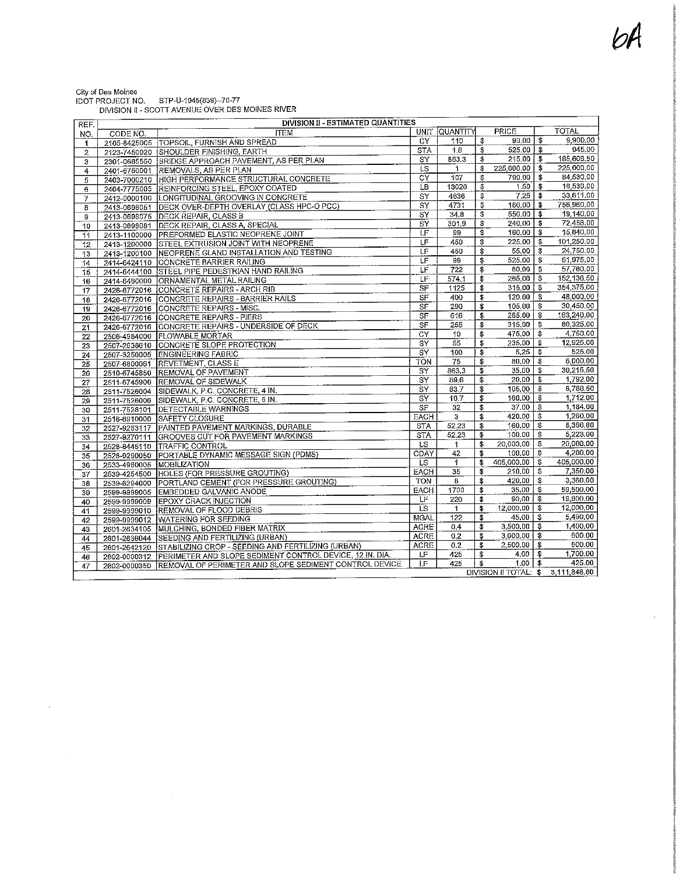$\bar{\epsilon}$ 

| City of Des Moines      |                                                  |  |
|-------------------------|--------------------------------------------------|--|
| <b>IDOT PROJECT NO.</b> | STP-U-1945(839)--70-77                           |  |
|                         | DIVISION II - SCOTT AVENUE OVER DES MOINES RIVER |  |
|                         |                                                  |  |

 $\mathcal{L}_{\text{max}}$  and  $\mathcal{L}_{\text{max}}$ 

 $\label{eq:2.1} \frac{1}{\sqrt{2}}\int_{\mathbb{R}^3}\frac{1}{\sqrt{2}}\left(\frac{1}{\sqrt{2}}\right)^2\frac{1}{\sqrt{2}}\left(\frac{1}{\sqrt{2}}\right)^2\frac{1}{\sqrt{2}}\left(\frac{1}{\sqrt{2}}\right)^2\frac{1}{\sqrt{2}}\left(\frac{1}{\sqrt{2}}\right)^2.$ 

| REF.            | DIVISION II - ESTIMATED QUANTITIES |                                                                       |                          |                 |                                        |                       |                         |                        |  |
|-----------------|------------------------------------|-----------------------------------------------------------------------|--------------------------|-----------------|----------------------------------------|-----------------------|-------------------------|------------------------|--|
| NO.             | CODE NO.                           | <b>ITEM</b>                                                           |                          | UNIT QUANTITY   |                                        | PRICE                 |                         | <b>TOTAL</b>           |  |
| 1               |                                    | 2105-8425005 TOPSOIL, FURNISH AND SPREAD                              | <b>CY</b>                | 110             | \$                                     | 90,00                 | \$                      | 9,900,00               |  |
| $\overline{c}$  |                                    | 2123-7450020 SHOULDER FINISHING, EARTH                                | $\overline{\text{STA}}$  | 1.8             | \$                                     | 525,00                | -\$                     | 945.00                 |  |
| 3               | 2301-0685550                       | BRIDGE APPROACH PAVEMENT, AS PER PLAN                                 | $\overline{\text{SY}}$   | 363.3           | \$                                     | 215,00                | \$                      | 185,609.50             |  |
| 4               | 2401-6750001                       | <b>REMOVALS, AS PER PLAN</b>                                          | LS.                      | 1               | \$                                     | 225,000,00            | \$                      | 225.000.00             |  |
| $\overline{5}$  | 2403-7000210                       | HIGH PERFORMANCE STRUCTURAL CONCRETE                                  | $\overline{CY}$          | 107             | \$                                     | 790,00                | \$                      | 84,530,00              |  |
| 6               | 2404-7775005                       | <b>REINFORCING STEEL, EPOXY COATED</b>                                | LB                       | 13026           | \$                                     | 1.50                  | \$                      | 19,539.00              |  |
| 7               | 2412-0000100                       | LONGITUDINAL GROOVING IN CONCRETE                                     | $\overline{SY}$          | 4636            | \$                                     | 7.25                  | \$                      | 33,611.00              |  |
| 8               | 2413-0698051                       | DECK OVER-DEPTH OVERLAY (CLASS HPC-O PCC)                             | $\text{SY}$              | 4731            | \$                                     | 160.00                | \$                      | 756,960.00             |  |
| 9               | 2413-0698075                       | <b>DECK REPAIR, CLASS B</b>                                           | $\overline{\text{sY}}$   | 34.8            | $\overline{\mathbf{3}}$                | 550.00                | $\mathbf{f}$            | 19,140,00              |  |
| 10              | 2413-0698081                       | DECK REPAIR, CLASS A, SPECIAL                                         | SY                       | 301.9           | \$                                     | 240.00                | \$                      | 72,456.00              |  |
| 11              | 2413-1100000                       | <b>PREFORMED ELASTIC NEOPRENE JOINT</b>                               | LF                       | 99              | \$                                     | 160.00                | \$                      | 15,840.00              |  |
| $12 \,$         | 2413-1200000                       | <b>STEEL EXTRUSION JOINT WITH NEOPRENE</b>                            | LF                       | 450             | \$                                     | 225,00                | \$                      | 101,250.00             |  |
| 13              | 2413-1200100                       | NEOPRENE GLAND INSTALLATION AND TESTING                               | LF                       | 450             | $\overline{\boldsymbol{\mathfrak{s}}}$ | 55,00                 | \$                      | 24,750,00              |  |
| 14              | 2414-6424110                       | <b>CONCRETE BARRIER RAILING</b>                                       | LF                       | 99              | \$                                     | 525,00                | \$                      | 51,975.00              |  |
| 15              | 2414-6444100                       | <b>STEEL PIPE PEDESTRIAN HAND RAILING</b>                             | ΙF                       | 722             | \$                                     | 80.00                 | $\mathbf{3}$            | 57,760,00              |  |
| 16              | 2414-6460000                       | ORNAMENTAL METAL RAILING                                              | ΪF.                      | 574.1           | \$                                     | 265.00                | \$                      | 152,136.50             |  |
| $\overline{17}$ |                                    | 2426-6772016 CONCRETE REPAIRS - ARCH RIB                              | <b>SF</b>                | 1125            | \$                                     | 315.00                | \$                      | 354,375.00             |  |
| 18              | 2426-6772016                       | <b>CONCRETE REPAIRS - BARRIER RAILS</b>                               | $\overline{\mathsf{SF}}$ | 400             | \$                                     | 120.00                | \$                      | 48,000.00              |  |
| $\overline{19}$ |                                    | 2426-6772016 CONCRETE REPAIRS - MISC.                                 | <b>SF</b>                | 290             | \$                                     | 105.00                | \$                      | 30,450.00              |  |
| $\overline{20}$ |                                    | 2426-6772016 CONCRETE REPAIRS - PIERS                                 | S <sub>F</sub>           | 616             | \$                                     | 265.00                | \$                      | 163,240,00             |  |
| 21              |                                    | 2426-6772016 CONCRETE REPAIRS - UNDERSIDE OF DECK                     | SF                       | 255             | \$                                     | 315.00                | \$                      | 80,325.00              |  |
| $\overline{22}$ | 2506-4984000                       | <b>FLOWABLE MORTAR</b>                                                | $\overline{CY}$          | 10              | \$                                     | 475,00                | \$                      | 4,750,00               |  |
| 23              | 2507-2638610                       | CONCRETE SLOPE PROTECTION                                             | $\overline{\text{SY}}$   | $\overline{55}$ | $\overline{\mathfrak{s}}$              | 235,00                | `\$                     | 12.925.00              |  |
| $\overline{24}$ | 2507-3250005                       | <b>ENGINEERING FABRIC</b>                                             | $\overline{\text{sY}}$   | 100             | Ŧ                                      | 5.25                  | $\overline{\mathbf{5}}$ | 525.00                 |  |
| 25              | 2507-6800061                       | <b>REVETMENT, CLASS E</b>                                             | TON                      | 75              | \$                                     | 80,00                 | $\overline{\bullet}$    | 6,000.00               |  |
| 26              | 2510-6745850                       | <b>REMOVAL OF PAVEMENT</b>                                            | SY                       | 863.3           | 3                                      | 35,00                 | -5                      | 30,215,50              |  |
| 27              | 2511-6745900                       | <b>REMOVAL OF SIDEWALK</b>                                            | $\overline{\text{sY}}$   | 89.6            | $\overline{\$}$                        | 20,00                 | \$                      | 1,792.00               |  |
| $\overline{28}$ | 2511-7526004                       | SIDEWALK, P.C. CONCRETE, 4 IN.                                        | $\overline{\text{s}}$ Y  | 837             | \$                                     | 105,00                | \$                      | 8,788.50               |  |
| 29              | 2511-7526006                       | SIDEWALK, P.C. CONCRETE, 6 IN.                                        | $\overline{\text{SY}}$   | 10.7            | \$                                     | 160,00                | \$                      | 1,712.00               |  |
| 30              | 2511-7528101                       | <b>DETECTABLE WARNINGS</b>                                            | S <sub>F</sub>           | 32              | \$                                     | 37.00                 | \$                      | 1,184.00               |  |
| 31              | 2518-6910000                       | <b>SAFETY CLOSURE</b>                                                 | EACH                     | 3               | \$                                     | 420.00                | \$                      | 1,260.00               |  |
| 32              | 2527-9263117                       | PAINTED PAVEMENT MARKINGS, DURABLE                                    | <b>STA</b>               | 52.23           | \$                                     | 160.00                | \$                      | 8,356.80               |  |
| 33              | 2527-9270111                       | <b>GROOVES CUT FOR PAVEMENT MARKINGS</b>                              | <b>STA</b>               | 52.23           | \$                                     | 100.00                | -\$                     | 5,223.00               |  |
| 34              | 2528-8445110                       | <b>TRAFFIC CONTROL</b>                                                | <b>LS</b>                | $\mathbf{1}$    | \$                                     | 20,000,00             | \$                      | 20,000,00<br>4,200,00  |  |
| 35              | 2528-9290050                       | PORTABLE DYNAMIC MESSAGE SIGN (PDMS)                                  | CDAY                     | 42              | \$                                     | 100,00                | \$                      |                        |  |
| 36              | 2533-4980005                       | <b>MOBILIZATION</b>                                                   | <b>LS</b>                | $\mathbf{1}$    | \$                                     | 405,000,00            | $\ddot{\bm{r}}$         | 405,000,00<br>7,350.00 |  |
| 37              | 2539-4254500                       | HOLES (FOR PRESSURE GROUTING)                                         | <b>EACH</b>              | 35              | \$                                     | 210,00                | \$                      | 3,360.00               |  |
| 38              | 2539-6294000                       | PORTLAND CEMENT (FOR PRESSURE GROUTING)                               | <b>TON</b>               | $\overline{8}$  | \$                                     | 420,00                | \$                      | 59,500.00              |  |
| 39              | 2599-9999005                       | <b>EMBEDDED GALVANIC ANODE</b>                                        | <b>EACH</b>              | 1700            | \$                                     | 35,00                 | \$                      |                        |  |
| 40              | 2599-9999009                       | <b>LEPOXY CRACK INJECTION</b>                                         | ΪF                       | 220             | \$                                     | 90,00                 | \$                      | 19,800.00<br>12,000.00 |  |
| 41              | 2599-9999010                       | <b>REMOVAL OF FLOOD DEBRIS</b>                                        | ΪŜ.                      | $\mathbf{1}$    | $\overline{\mathbf{3}}$                | 12,000,00             | \$                      |                        |  |
| 42              | 2599-9999012                       | <b>WATERING FOR SEEDING</b>                                           | MGAL                     | 122             | \$                                     | 45.00                 | \$                      | 5,490.00<br>1,400.00   |  |
| 43              |                                    | 2601-2634105 MULCHING, BONDED FIBER MATRIX                            | <b>ACRE</b>              | 0.4             | \$                                     | 3,500,00              | $\mathbf{3}$            |                        |  |
| 44              |                                    | 2601-2636044 SEEDING AND FERTILIZING (URBAN)                          | <b>ACRE</b>              | 0.2             | \$                                     | 3,000.00              | \$                      | 600.00                 |  |
| 45              |                                    | 2601-2642120 STABILIZING CROP - SEEDING AND FERTILIZING (URBAN)       | <b>ACRE</b>              | 0.2             | \$                                     | 2,500.00              | \$                      | 500.00                 |  |
| 46              |                                    | 2602-0000312 PERIMETER AND SLOPE SEDIMENT CONTROL DEVICE, 12 IN. DIA. | LF                       | 425             | \$                                     | 4.00                  | $\overline{\mathbf{3}}$ | 1.700.00<br>425.00     |  |
| 47              |                                    | 2602-0000350 REMOVAL OF PERIMETER AND SLOPE SEDIMENT CONTROL DEVICE   | LF                       | 425             | $\overline{\mathbb{S}}$                | $1.00$ $\mid$ \$      |                         | 3,111,848.80           |  |
|                 |                                    |                                                                       |                          |                 |                                        | DIVISION II TOTAL: \$ |                         |                        |  |